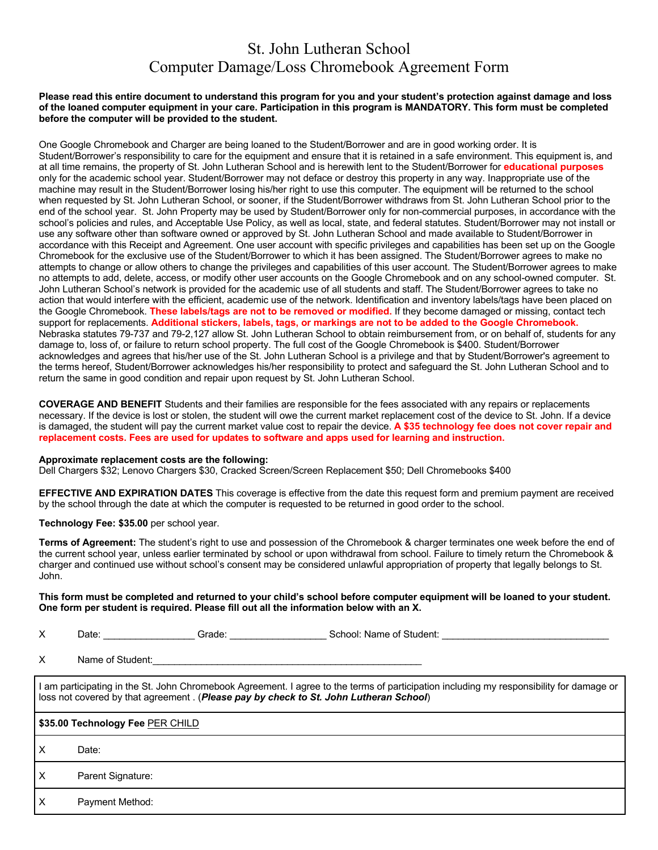# St. John Lutheran School Computer Damage/Loss Chromebook Agreement Form

#### **Please read this entire document to understand this program for you and your student's protection against damage and loss of the loaned computer equipment in your care. Participation in this program is MANDATORY. This form must be completed before the computer will be provided to the student.**

One Google Chromebook and Charger are being loaned to the Student/Borrower and are in good working order. It is Student/Borrower's responsibility to care for the equipment and ensure that it is retained in a safe environment. This equipment is, and at all time remains, the property of St. John Lutheran School and is herewith lent to the Student/Borrower for **educational purposes**  only for the academic school year. Student/Borrower may not deface or destroy this property in any way. Inappropriate use of the machine may result in the Student/Borrower losing his/her right to use this computer. The equipment will be returned to the school when requested by St. John Lutheran School, or sooner, if the Student/Borrower withdraws from St. John Lutheran School prior to the end of the school year. St. John Property may be used by Student/Borrower only for non-commercial purposes, in accordance with the school's policies and rules, and Acceptable Use Policy, as well as local, state, and federal statutes. Student/Borrower may not install or use any software other than software owned or approved by St. John Lutheran School and made available to Student/Borrower in accordance with this Receipt and Agreement. One user account with specific privileges and capabilities has been set up on the Google Chromebook for the exclusive use of the Student/Borrower to which it has been assigned. The Student/Borrower agrees to make no attempts to change or allow others to change the privileges and capabilities of this user account. The Student/Borrower agrees to make no attempts to add, delete, access, or modify other user accounts on the Google Chromebook and on any school-owned computer. St. John Lutheran School's network is provided for the academic use of all students and staff. The Student/Borrower agrees to take no action that would interfere with the efficient, academic use of the network. Identification and inventory labels/tags have been placed on the Google Chromebook. **These labels/tags are not to be removed or modified.** If they become damaged or missing, contact tech support for replacements. **Additional stickers, labels, tags, or markings are not to be added to the Google Chromebook.**  Nebraska statutes 79-737 and 79-2,127 allow St. John Lutheran School to obtain reimbursement from, or on behalf of, students for any damage to, loss of, or failure to return school property. The full cost of the Google Chromebook is \$400. Student/Borrower acknowledges and agrees that his/her use of the St. John Lutheran School is a privilege and that by Student/Borrower's agreement to the terms hereof, Student/Borrower acknowledges his/her responsibility to protect and safeguard the St. John Lutheran School and to return the same in good condition and repair upon request by St. John Lutheran School.

**COVERAGE AND BENEFIT** Students and their families are responsible for the fees associated with any repairs or replacements necessary. If the device is lost or stolen, the student will owe the current market replacement cost of the device to St. John. If a device is damaged, the student will pay the current market value cost to repair the device. **A \$35 technology fee does not cover repair and replacement costs. Fees are used for updates to software and apps used for learning and instruction.**

#### **Approximate replacement costs are the following:**

Dell Chargers \$32; Lenovo Chargers \$30, Cracked Screen/Screen Replacement \$50; Dell Chromebooks \$400

**EFFECTIVE AND EXPIRATION DATES** This coverage is effective from the date this request form and premium payment are received by the school through the date at which the computer is requested to be returned in good order to the school.

#### **Technology Fee: \$35.00** per school year.

**Terms of Agreement:** The student's right to use and possession of the Chromebook & charger terminates one week before the end of the current school year, unless earlier terminated by school or upon withdrawal from school. Failure to timely return the Chromebook & charger and continued use without school's consent may be considered unlawful appropriation of property that legally belongs to St. John.

#### **This form must be completed and returned to your child's school before computer equipment will be loaned to your student. One form per student is required. Please fill out all the information below with an X.**

| . .<br>v<br>Student:<br>Grade<br>`∩hool: ∟<br>Date<br>ΩŤ<br>Name.<br>וטכ<br>↗ |
|-------------------------------------------------------------------------------|
|-------------------------------------------------------------------------------|

X Name of Student:

I am participating in the St. John Chromebook Agreement. I agree to the terms of participation including my responsibility for damage or loss not covered by that agreement . (*Please pay by check to St. John Lutheran School*)

### **\$35.00 Technology Fee** PER CHILD

X Date:

X Parent Signature:

X Payment Method: